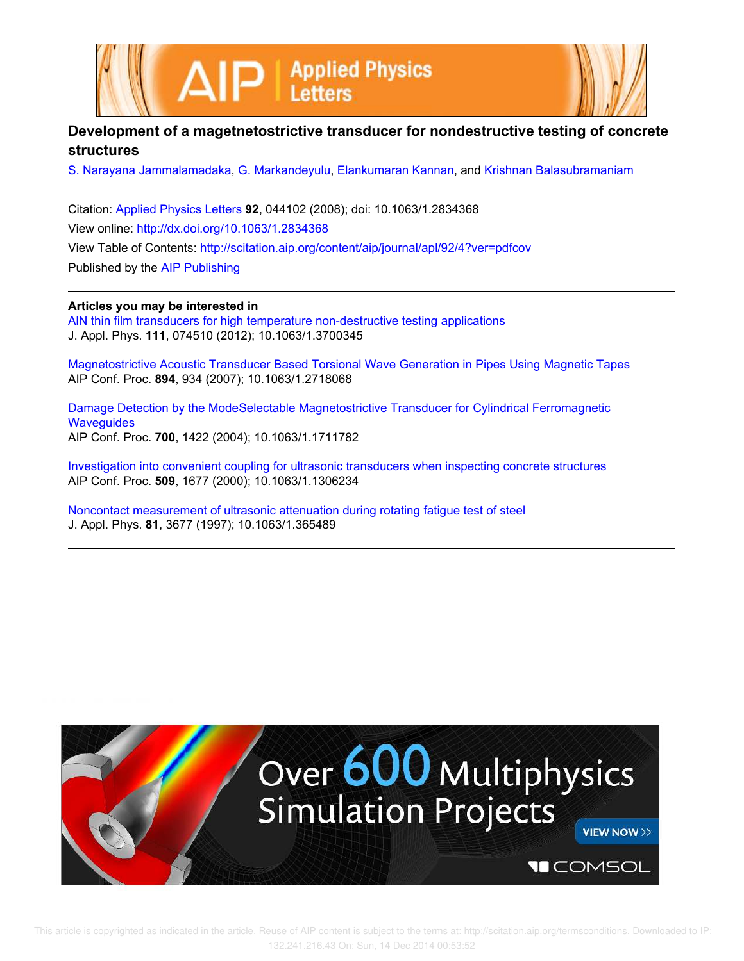



## **Development of a magetnetostrictive transducer for nondestructive testing of concrete structures**

S. Narayana Jammalamadaka, G. Markandeyulu, Elankumaran Kannan, and Krishnan Balasubramaniam

Citation: Applied Physics Letters **92**, 044102 (2008); doi: 10.1063/1.2834368 View online: http://dx.doi.org/10.1063/1.2834368 View Table of Contents: http://scitation.aip.org/content/aip/journal/apl/92/4?ver=pdfcov Published by the AIP Publishing

## **Articles you may be interested in**

AlN thin film transducers for high temperature non-destructive testing applications J. Appl. Phys. **111**, 074510 (2012); 10.1063/1.3700345

Magnetostrictive Acoustic Transducer Based Torsional Wave Generation in Pipes Using Magnetic Tapes AIP Conf. Proc. **894**, 934 (2007); 10.1063/1.2718068

Damage Detection by the ModeSelectable Magnetostrictive Transducer for Cylindrical Ferromagnetic **Wavequides** AIP Conf. Proc. **700**, 1422 (2004); 10.1063/1.1711782

Investigation into convenient coupling for ultrasonic transducers when inspecting concrete structures AIP Conf. Proc. **509**, 1677 (2000); 10.1063/1.1306234

Noncontact measurement of ultrasonic attenuation during rotating fatigue test of steel J. Appl. Phys. **81**, 3677 (1997); 10.1063/1.365489

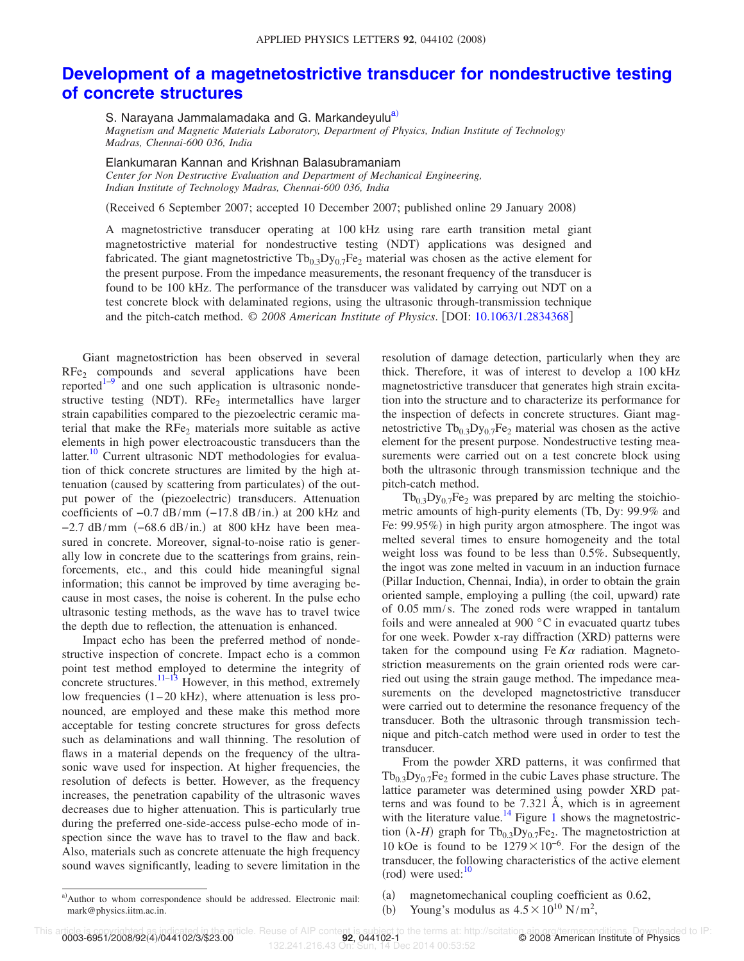## **Development of a magetnetostrictive transducer for nondestructive testing of concrete structures**

S. Narayana Jammalamadaka and G. Markandeyulu<sup>a)</sup>

*Magnetism and Magnetic Materials Laboratory, Department of Physics, Indian Institute of Technology Madras, Chennai-600 036, India*

Elankumaran Kannan and Krishnan Balasubramaniam *Center for Non Destructive Evaluation and Department of Mechanical Engineering, Indian Institute of Technology Madras, Chennai-600 036, India*

(Received 6 September 2007; accepted 10 December 2007; published online 29 January 2008)

A magnetostrictive transducer operating at 100 kHz using rare earth transition metal giant magnetostrictive material for nondestructive testing (NDT) applications was designed and fabricated. The giant magnetostrictive  $Tb_{0.3}Dy_{0.7}Fe_2$  material was chosen as the active element for the present purpose. From the impedance measurements, the resonant frequency of the transducer is found to be 100 kHz. The performance of the transducer was validated by carrying out NDT on a test concrete block with delaminated regions, using the ultrasonic through-transmission technique and the pitch-catch method. © *2008 American Institute of Physics*. DOI: 10.1063/1.2834368

Giant magnetostriction has been observed in several  $RFe<sub>2</sub>$  compounds and several applications have been reported $1-9$  and one such application is ultrasonic nondestructive testing (NDT). RFe<sub>2</sub> intermetallics have larger strain capabilities compared to the piezoelectric ceramic material that make the  $RFe<sub>2</sub>$  materials more suitable as active elements in high power electroacoustic transducers than the latter.<sup>10</sup> Current ultrasonic NDT methodologies for evaluation of thick concrete structures are limited by the high attenuation (caused by scattering from particulates) of the output power of the (piezoelectric) transducers. Attenuation coefficients of  $-0.7$  dB/mm  $(-17.8$  dB/in.) at 200 kHz and  $-2.7$  dB/mm  $(-68.6$  dB/in.) at 800 kHz have been measured in concrete. Moreover, signal-to-noise ratio is generally low in concrete due to the scatterings from grains, reinforcements, etc., and this could hide meaningful signal information; this cannot be improved by time averaging because in most cases, the noise is coherent. In the pulse echo ultrasonic testing methods, as the wave has to travel twice the depth due to reflection, the attenuation is enhanced.

Impact echo has been the preferred method of nondestructive inspection of concrete. Impact echo is a common point test method employed to determine the integrity of concrete structures. $\frac{11-13}{11}$  However, in this method, extremely low frequencies  $(1-20 \text{ kHz})$ , where attenuation is less pronounced, are employed and these make this method more acceptable for testing concrete structures for gross defects such as delaminations and wall thinning. The resolution of flaws in a material depends on the frequency of the ultrasonic wave used for inspection. At higher frequencies, the resolution of defects is better. However, as the frequency increases, the penetration capability of the ultrasonic waves decreases due to higher attenuation. This is particularly true during the preferred one-side-access pulse-echo mode of inspection since the wave has to travel to the flaw and back. Also, materials such as concrete attenuate the high frequency sound waves significantly, leading to severe limitation in the resolution of damage detection, particularly when they are thick. Therefore, it was of interest to develop a 100 kHz magnetostrictive transducer that generates high strain excitation into the structure and to characterize its performance for the inspection of defects in concrete structures. Giant magnetostrictive  $Tb_0$ ,  $Dy_0$ ,  $Fe_2$  material was chosen as the active element for the present purpose. Nondestructive testing measurements were carried out on a test concrete block using both the ultrasonic through transmission technique and the pitch-catch method.

 $Tb_{0.3}Dy_{0.7}Fe_2$  was prepared by arc melting the stoichiometric amounts of high-purity elements (Tb, Dy: 99.9% and Fe: 99.95%) in high purity argon atmosphere. The ingot was melted several times to ensure homogeneity and the total weight loss was found to be less than 0.5%. Subsequently, the ingot was zone melted in vacuum in an induction furnace (Pillar Induction, Chennai, India), in order to obtain the grain oriented sample, employing a pulling (the coil, upward) rate of 0.05 mm/s. The zoned rods were wrapped in tantalum foils and were annealed at 900 °C in evacuated quartz tubes for one week. Powder x-ray diffraction (XRD) patterns were taken for the compound using Fe  $K\alpha$  radiation. Magnetostriction measurements on the grain oriented rods were carried out using the strain gauge method. The impedance measurements on the developed magnetostrictive transducer were carried out to determine the resonance frequency of the transducer. Both the ultrasonic through transmission technique and pitch-catch method were used in order to test the transducer.

From the powder XRD patterns, it was confirmed that  $Tb_{0.3}Dy_{0.7}Fe_2$  formed in the cubic Laves phase structure. The lattice parameter was determined using powder XRD patterns and was found to be 7.321 Å, which is in agreement with the literature value.<sup>14</sup> Figure 1 shows the magnetostriction  $(\lambda - H)$  graph for Tb<sub>0.3</sub>Dy<sub>0.7</sub>Fe<sub>2</sub>. The magnetostriction at 10 kOe is found to be  $1279\times10^{-6}$ . For the design of the transducer, the following characteristics of the active element  $(rod)$  were used: $10$ 

 $(b)$ Young's modulus as  $4.5 \times 10^{10}$  N/m<sup>2</sup>,

 $(a)$ magnetomechanical coupling coefficient as 0.62,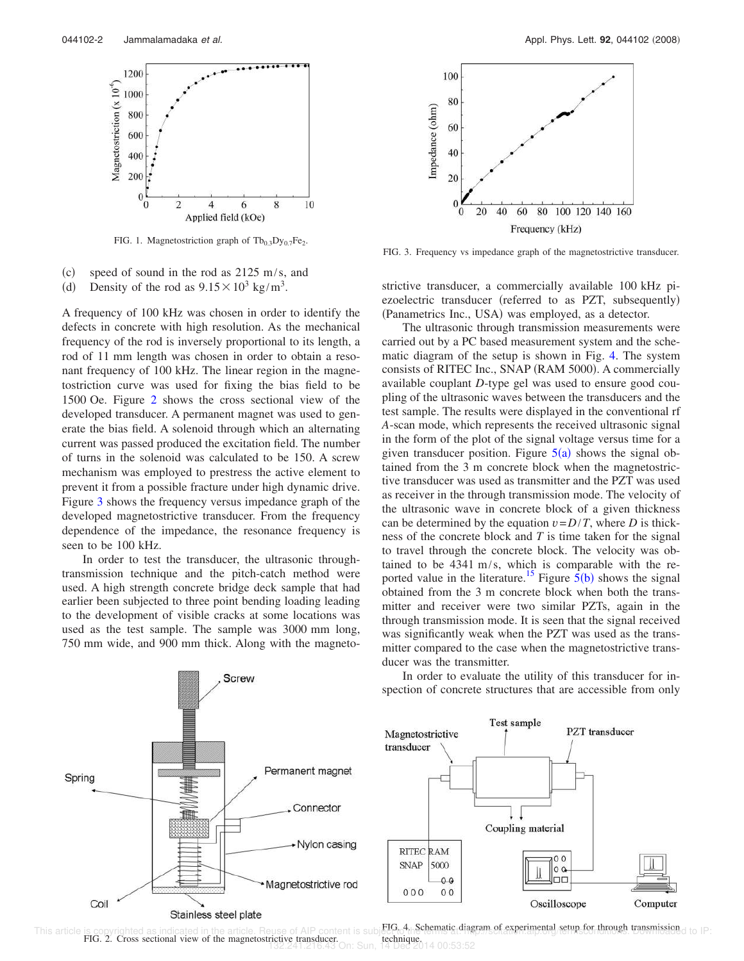

FIG. 1. Magnetostriction graph of  $Tb_{0.3}Dy_{0.7}Fe_2$ .

 $(c)$  speed of sound in the rod as 2125 m/s, and  $(d)$ Density of the rod as  $9.15 \times 10^3$  kg/m<sup>3</sup>.

A frequency of 100 kHz was chosen in order to identify the defects in concrete with high resolution. As the mechanical frequency of the rod is inversely proportional to its length, a rod of 11 mm length was chosen in order to obtain a resonant frequency of 100 kHz. The linear region in the magnetostriction curve was used for fixing the bias field to be 1500 Oe. Figure 2 shows the cross sectional view of the developed transducer. A permanent magnet was used to generate the bias field. A solenoid through which an alternating current was passed produced the excitation field. The number of turns in the solenoid was calculated to be 150. A screw mechanism was employed to prestress the active element to prevent it from a possible fracture under high dynamic drive. Figure 3 shows the frequency versus impedance graph of the developed magnetostrictive transducer. From the frequency dependence of the impedance, the resonance frequency is seen to be 100 kHz.

In order to test the transducer, the ultrasonic throughtransmission technique and the pitch-catch method were used. A high strength concrete bridge deck sample that had earlier been subjected to three point bending loading leading to the development of visible cracks at some locations was used as the test sample. The sample was 3000 mm long, 750 mm wide, and 900 mm thick. Along with the magneto-



FIG. 3. Frequency vs impedance graph of the magnetostrictive transducer.

strictive transducer, a commercially available 100 kHz piezoelectric transducer (referred to as PZT, subsequently) (Panametrics Inc., USA) was employed, as a detector.

The ultrasonic through transmission measurements were carried out by a PC based measurement system and the schematic diagram of the setup is shown in Fig. 4. The system consists of RITEC Inc., SNAP (RAM 5000). A commercially available couplant *D*-type gel was used to ensure good coupling of the ultrasonic waves between the transducers and the test sample. The results were displayed in the conventional rf *A*-scan mode, which represents the received ultrasonic signal in the form of the plot of the signal voltage versus time for a given transducer position. Figure  $5(a)$  shows the signal obtained from the 3 m concrete block when the magnetostrictive transducer was used as transmitter and the PZT was used as receiver in the through transmission mode. The velocity of the ultrasonic wave in concrete block of a given thickness can be determined by the equation  $v = D/T$ , where *D* is thickness of the concrete block and *T* is time taken for the signal to travel through the concrete block. The velocity was obtained to be 4341 m/s, which is comparable with the reported value in the literature.<sup>15</sup> Figure  $\frac{5(b)}{b}$  shows the signal obtained from the 3 m concrete block when both the transmitter and receiver were two similar PZTs, again in the through transmission mode. It is seen that the signal received was significantly weak when the PZT was used as the transmitter compared to the case when the magnetostrictive transducer was the transmitter.



spection of concrete structures that are accessible from only

**PZT** transducer

Computer

In order to evaluate the utility of this transducer for in-

Test sample

Coupling material

Magnetostrictive transducer

**RITEC RAM** 

5000

 $0<sub>0</sub>$ 

 $0<sub>0</sub>$ 

**SNAP** 

 $000$ 



 $0<sup>0</sup>$ 

lo a

nп

Oscilloscope

FIG. 2. Cross sectional view of the magnetostrictive transducer. technique. 132.241.216.43 On: Sun, 14 Dec 2014 00:53:52